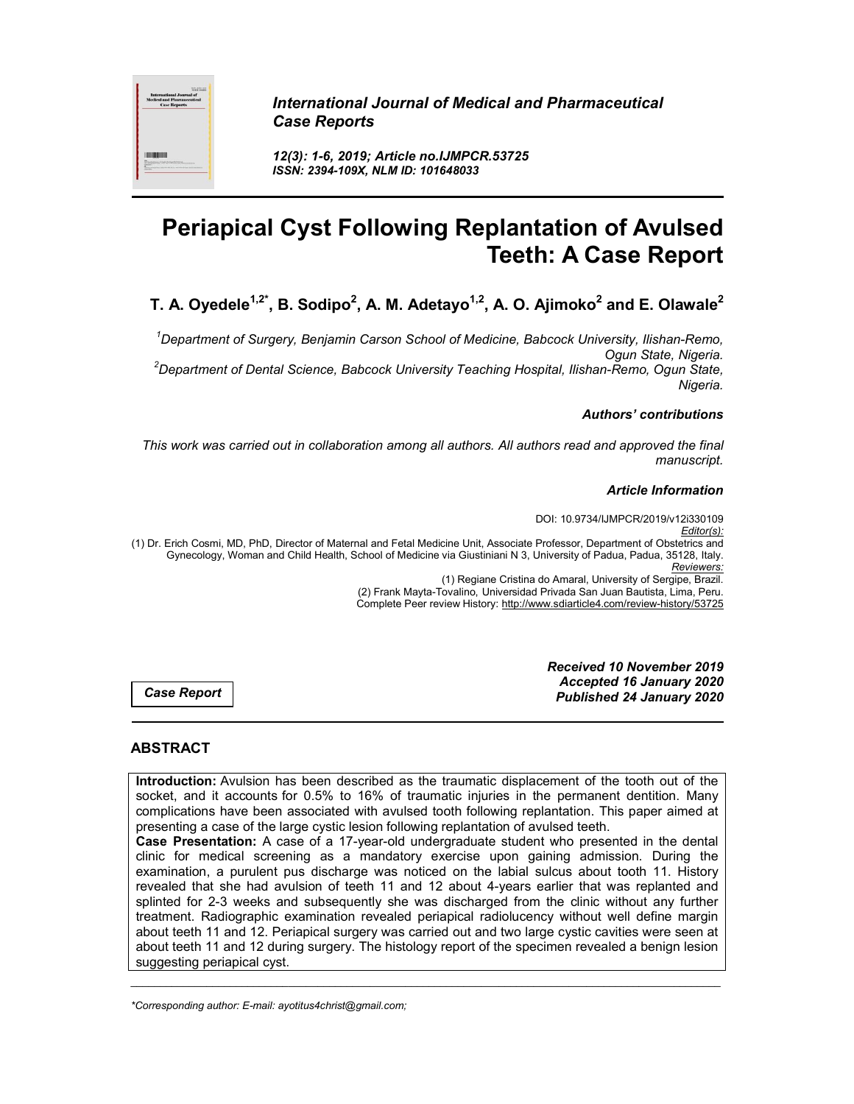

*International Journal of Medical and Pharmaceutical Case Reports*

*12(3): 1-6, 2019; Article no.IJMPCR.53725 ISSN: 2394-109X, NLM ID: 101648033*

# **Periapical Cyst Following Replantation of Avulsed Teeth: A Case Report**

T. A. Oyedele<sup>1,2\*</sup>, B. Sodipo<sup>2</sup>, A. M. Adetayo<sup>1,2</sup>, A. O. Ajimoko<sup>2</sup> and E. Olawale<sup>2</sup>

*1 Department of Surgery, Benjamin Carson School of Medicine, Babcock University, Ilishan-Remo, Ogun State, Nigeria. <sup>2</sup> Department of Dental Science, Babcock University Teaching Hospital, Ilishan-Remo, Ogun State, Nigeria.*

### *Authors' contributions*

*This work was carried out in collaboration among all authors. All authors read and approved the final manuscript.*

### *Article Information*

DOI: 10.9734/IJMPCR/2019/v12i330109 *Editor(s):* (1) Dr. Erich Cosmi, MD, PhD, Director of Maternal and Fetal Medicine Unit, Associate Professor, Department of Obstetrics and Gynecology, Woman and Child Health, School of Medicine via Giustiniani N 3, University of Padua, Padua, 35128, Italy. *Reviewers:* (1) Regiane Cristina do Amaral, University of Sergipe, Brazil. (2) Frank Mayta-Tovalino, Universidad Privada San Juan Bautista, Lima, Peru. Complete Peer review History: http://www.sdiarticle4.com/review-history/53725

> *Received 10 November 2019 Accepted 16 January 2020 Published 24 January 2020*

*Case Report*

# **ABSTRACT**

**Introduction:** Avulsion has been described as the traumatic displacement of the tooth out of the socket, and it accounts for 0.5% to 16% of traumatic injuries in the permanent dentition. Many complications have been associated with avulsed tooth following replantation. This paper aimed at presenting a case of the large cystic lesion following replantation of avulsed teeth.

**Case Presentation:** A case of a 17-year-old undergraduate student who presented in the dental clinic for medical screening as a mandatory exercise upon gaining admission. During the examination, a purulent pus discharge was noticed on the labial sulcus about tooth 11. History revealed that she had avulsion of teeth 11 and 12 about 4-years earlier that was replanted and splinted for 2-3 weeks and subsequently she was discharged from the clinic without any further treatment. Radiographic examination revealed periapical radiolucency without well define margin about teeth 11 and 12. Periapical surgery was carried out and two large cystic cavities were seen at about teeth 11 and 12 during surgery. The histology report of the specimen revealed a benign lesion suggesting periapical cyst.

\_\_\_\_\_\_\_\_\_\_\_\_\_\_\_\_\_\_\_\_\_\_\_\_\_\_\_\_\_\_\_\_\_\_\_\_\_\_\_\_\_\_\_\_\_\_\_\_\_\_\_\_\_\_\_\_\_\_\_\_\_\_\_\_\_\_\_\_\_\_\_\_\_\_\_\_\_\_\_\_\_\_\_\_\_\_\_\_\_\_\_\_\_\_\_\_\_\_\_\_\_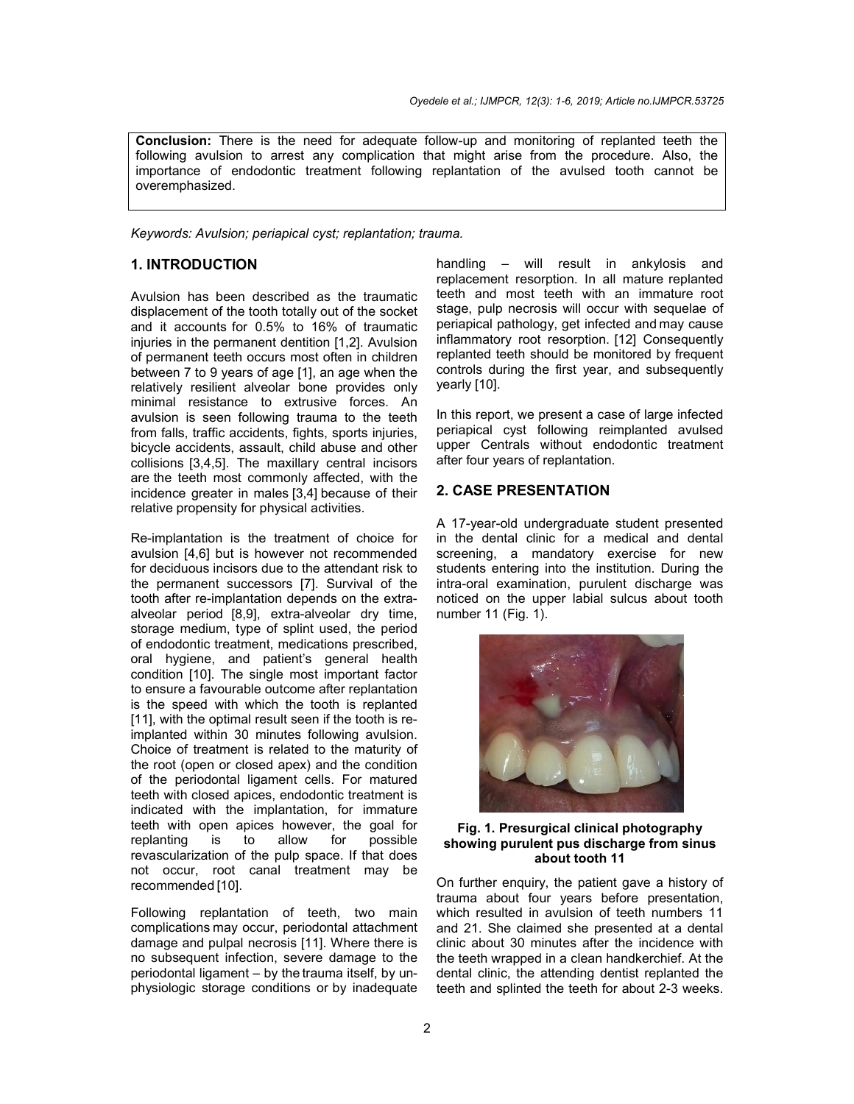**Conclusion:** There is the need for adequate follow-up and monitoring of replanted teeth the following avulsion to arrest any complication that might arise from the procedure. Also, the importance of endodontic treatment following replantation of the avulsed tooth cannot be overemphasized.

*Keywords: Avulsion; periapical cyst; replantation; trauma.*

## **1. INTRODUCTION**

Avulsion has been described as the traumatic displacement of the tooth totally out of the socket and it accounts for 0.5% to 16% of traumatic injuries in the permanent dentition [1,2]. Avulsion of permanent teeth occurs most often in children between 7 to 9 years of age [1], an age when the relatively resilient alveolar bone provides only minimal resistance to extrusive forces. An avulsion is seen following trauma to the teeth from falls, traffic accidents, fights, sports injuries, bicycle accidents, assault, child abuse and other collisions [3,4,5]. The maxillary central incisors are the teeth most commonly affected, with the incidence greater in males [3,4] because of their relative propensity for physical activities.

Re-implantation is the treatment of choice for avulsion [4,6] but is however not recommended for deciduous incisors due to the attendant risk to the permanent successors [7]. Survival of the tooth after re-implantation depends on the extraalveolar period [8,9], extra-alveolar dry time, storage medium, type of splint used, the period of endodontic treatment, medications prescribed, oral hygiene, and patient's general health condition [10]. The single most important factor to ensure a favourable outcome after replantation is the speed with which the tooth is replanted [11], with the optimal result seen if the tooth is reimplanted within 30 minutes following avulsion. Choice of treatment is related to the maturity of the root (open or closed apex) and the condition of the periodontal ligament cells. For matured teeth with closed apices, endodontic treatment is indicated with the implantation, for immature teeth with open apices however, the goal for<br>replanting is to allow for possible replanting is to allow for revascularization of the pulp space. If that does not occur, root canal treatment may be recommended [10].

Following replantation of teeth, two main complications may occur, periodontal attachment damage and pulpal necrosis [11]. Where there is no subsequent infection, severe damage to the periodontal ligament – by the trauma itself, by unphysiologic storage conditions or by inadequate handling – will result in ankylosis and replacement resorption. In all mature replanted teeth and most teeth with an immature root stage, pulp necrosis will occur with sequelae of periapical pathology, get infected and may cause inflammatory root resorption. [12] Consequently replanted teeth should be monitored by frequent controls during the first year, and subsequently yearly [10].

In this report, we present a case of large infected periapical cyst following reimplanted avulsed upper Centrals without endodontic treatment after four years of replantation.

# **2. CASE PRESENTATION**

A 17-year-old undergraduate student presented in the dental clinic for a medical and dental screening, a mandatory exercise for new students entering into the institution. During the intra-oral examination, purulent discharge was noticed on the upper labial sulcus about tooth number 11 (Fig. 1).



#### **Fig. 1. Presurgical clinical photography showing purulent pus discharge from sinus about tooth 11**

On further enquiry, the patient gave a history of trauma about four years before presentation, which resulted in avulsion of teeth numbers 11 and 21. She claimed she presented at a dental clinic about 30 minutes after the incidence with the teeth wrapped in a clean handkerchief. At the dental clinic, the attending dentist replanted the teeth and splinted the teeth for about 2-3 weeks.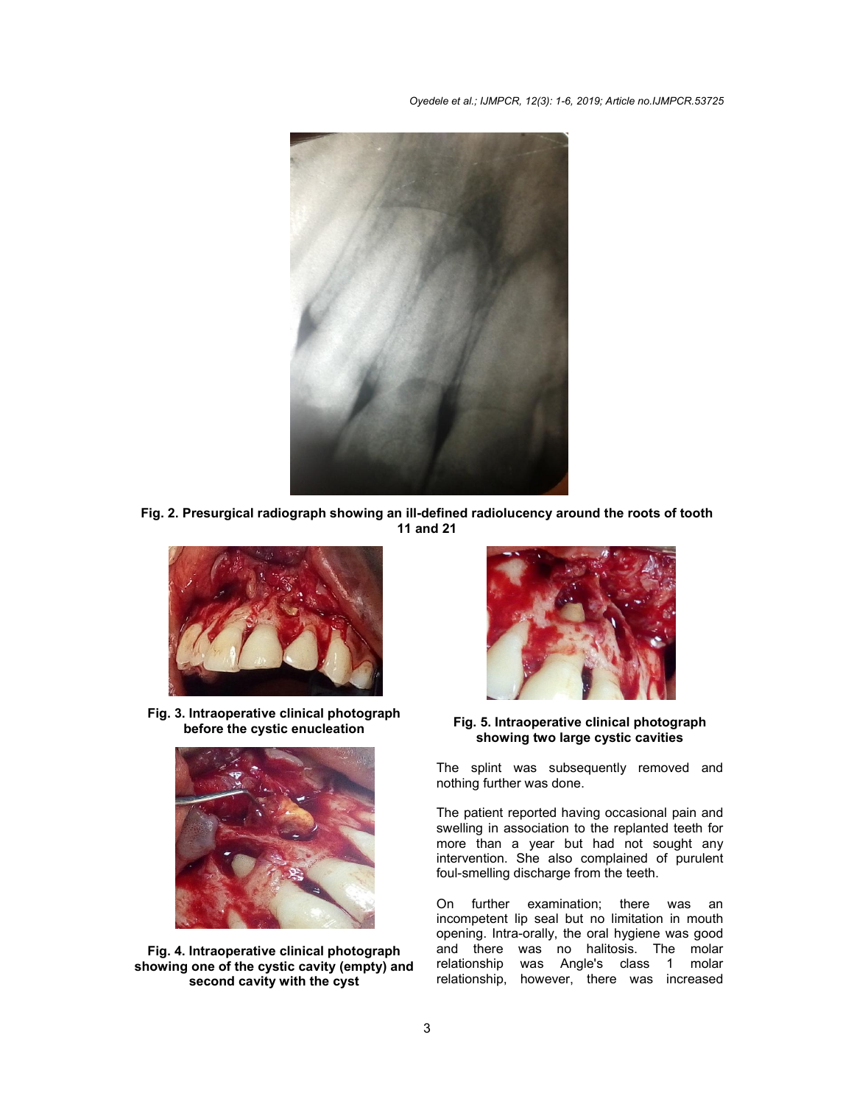*Oyedele et al.; IJMPCR, 12(3): 1-6, 2019; Article no.IJMPCR.53725*



**Fig. 2. Presurgical radiograph showing an ill-defined radiolucency around the roots of tooth 11 and 21**



**Fig. 3. Intraoperative clinical photograph before the cystic enucleation**



**Fig. 4. Intraoperative clinical photograph showing one of the cystic cavity (empty) and second cavity with the cyst**



**Fig. 5. Intraoperative clinical photograph showing two large cystic cavities**

The splint was subsequently removed and nothing further was done.

The patient reported having occasional pain and swelling in association to the replanted teeth for more than a year but had not sought any intervention. She also complained of purulent foul-smelling discharge from the teeth.

On further examination; there was an incompetent lip seal but no limitation in mouth opening. Intra-orally, the oral hygiene was good and there was no halitosis. The molar relationship was Angle's class 1 molar relationship, however, there was increased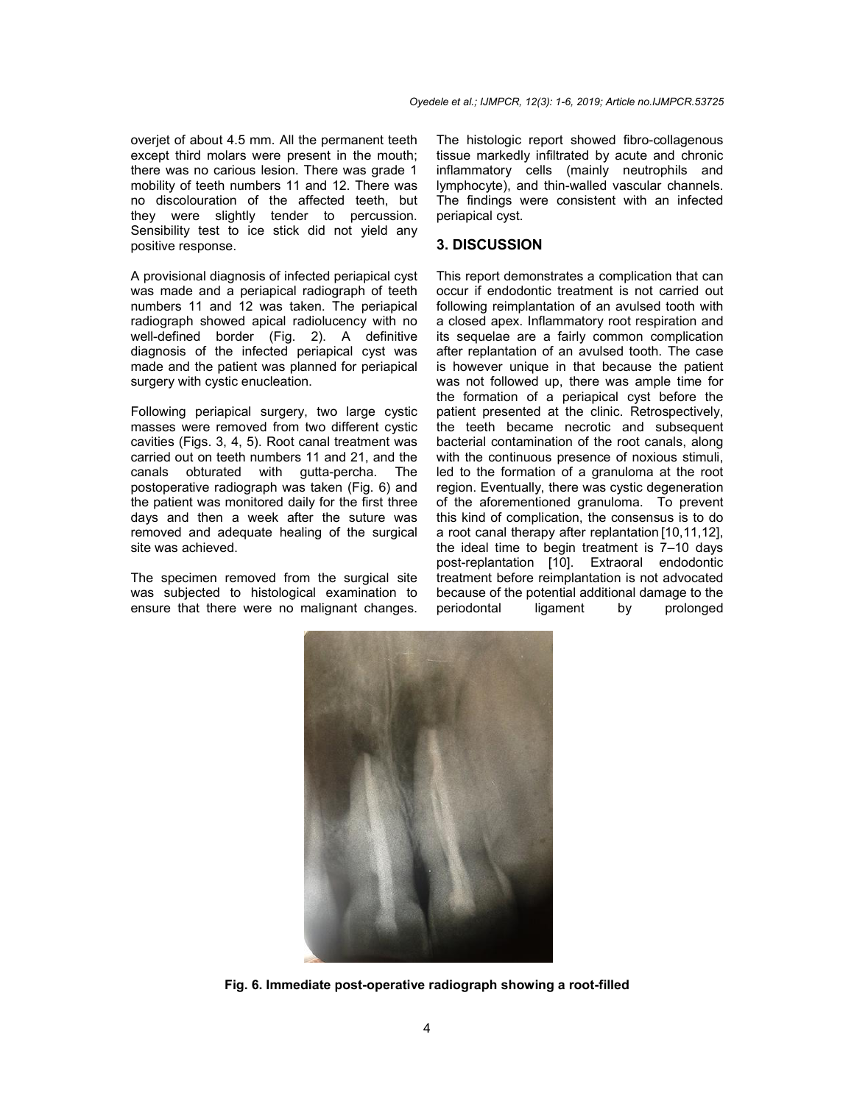overjet of about 4.5 mm. All the permanent teeth except third molars were present in the mouth; there was no carious lesion. There was grade 1 mobility of teeth numbers 11 and 12. There was overjet of about 4.5 mm. All the permanent teeth except third molars were present in the mouth;<br>there was no carious lesion. There was grade 1<br>mobility of teeth numbers 11 and 12. There was<br>no discolouration of the affecte they were slightly tender to percussion. Sensibility test to ice stick did not yield any positive response.

A provisional diagnosis of infected periapical cyst was made and a periapical radiograph of teeth numbers 11 and 12 was taken. The periapical radiograph showed apical radiolucency with no well-defined border (Fig. 2). A definitive diagnosis of the infected periapical cyst was made and the patient was planned for periapical surgery with cystic enucleation. graph showed apical radiolucency with no<br>defined border (Fig. 2). A definitive<br>nosis of the infected periapical cyst was<br>e and the patient was planned for periapical<br>ery with cystic enucleation.<br>wing periapical surgery, tw

Following periapical surgery, two large cystic masses were removed from two different cystic cavities (Figs. 3, 4, 5). Root canal treatment was carried out on teeth numbers 11 and 21, and the canals obturated with qutta-percha. The canals obturated with gutta-percha. cavities (Figs. 3, 4, 5). Root canal treatment was<br>carried out on teeth numbers 11 and 21, and the<br>canals obturated with gutta-percha. The<br>postoperative radiograph was taken (Fig. 6) and the patient was monitored daily for the first three days and then a week after the suture was removed and adequate healing of the surgical site was achieved.

The specimen removed from the surgical site The specimen removed from the surgical site<br>was subjected to histological examination to ensure that there were no malignant changes.

tissue markedly infiltrated by acute and chronic inflammatory cells (mainly neutrophils and lymphocyte), and thin-walled vascular channels. The findings were consistent with an infected periapical cyst. The histologic report showed fibro-collagenous sue markedly infiltrated by acute and chronic<br>flammatory cells (mainly neutrophils and<br>mphocyte), and thin-walled vascular channels.<br>he findings were consistent with an infected<br>eriapical cyst.<br>**DISCUSSION**<br>nis report demo

# **3. DISCUSSION**

in min. All the permanent teeth the histologic report showed fibron the swere present in the modit). There was grade 1 inflammatory cells (mainly neuthors is used). There was grade 1 inflammatory cells (mainly neuthors in This report demonstrates a complication that can occur if endodontic treatment is not carried out following reimplantation of an avulsed tooth with a closed apex. Inflammatory root respiration its sequelae are a fairly common complication after replantation of an avulsed tooth. The case is however unique in that because the patient was not followed up, there was ample time for the formation of a periapical cyst before the patient presented at the clinic. Retrospectively, the teeth became necrotic and subsequent bacterial contamination of the root canals, along with the continuous presence of noxious stimuli, led to the formation of a granuloma at the r region. Eventually, there was cystic degeneration of the aforementioned granuloma. To prevent this kind of complication, the consensus is to do a root canal therapy after replantation [10,11,12], the ideal time to begin treatment is 7 7–10 days post-replantation [10]. Extraoral endodontic treatment before reimplantation is not advocated because of the potential additional damage to the periodontal ligament by prolonged sequelae are a fairly common complication<br>or replantation of an avulsed tooth. The case<br>nowever unique in that because the patient<br>s not followed up, there was ample time for<br>formation of a periapical cyst before the<br>ent p there was cystic degeneration<br>ned granuloma. To prevent<br>:ation, the consensus is to do



**Fig. 6. Immediate post post-operative radiograph showing a root-filled**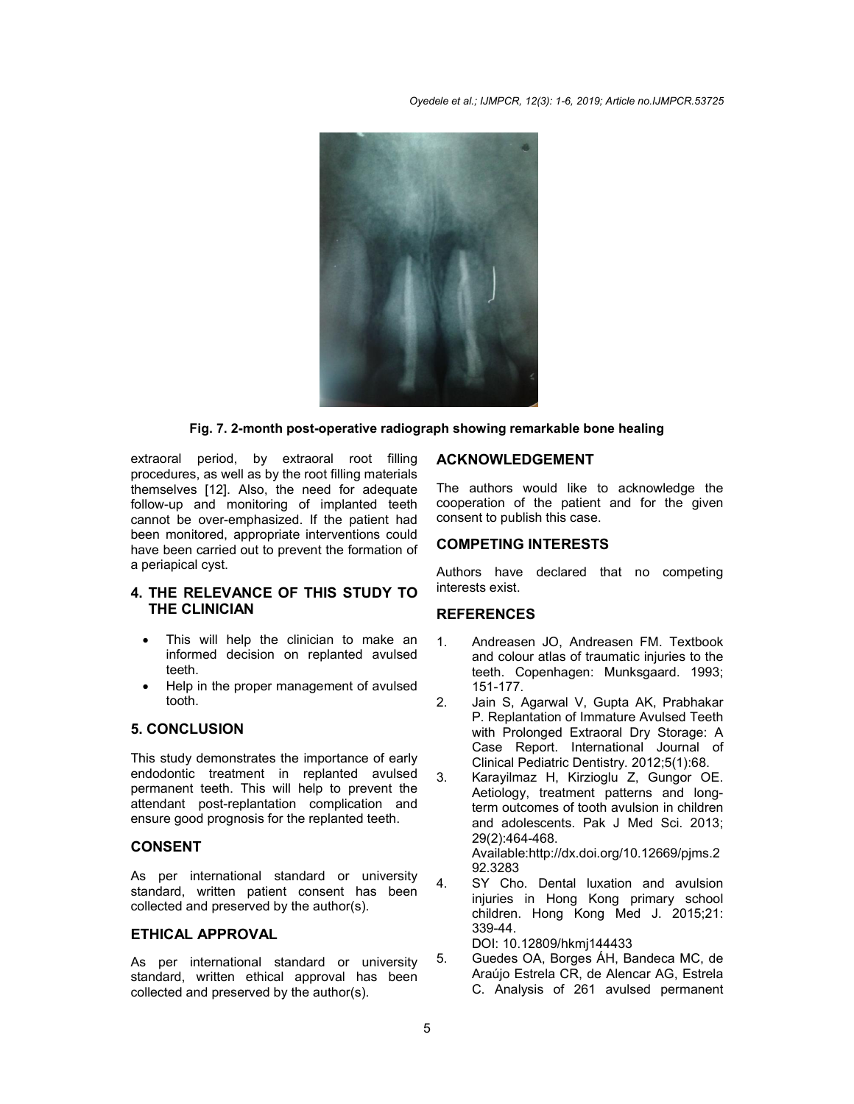*Oyedele et al.; IJMPCR, 12(3): 1-6, 2019; Article no.IJMPCR.53725*



**Fig. 7. 2-month post-operative radiograph showing remarkable bone healing**

extraoral period, by extraoral root filling procedures, as well as by the root filling materials themselves [12]. Also, the need for adequate follow-up and monitoring of implanted teeth cannot be over-emphasized. If the patient had been monitored, appropriate interventions could have been carried out to prevent the formation of a periapical cyst.

# **4. THE RELEVANCE OF THIS STUDY TO THE CLINICIAN**

- This will help the clinician to make an informed decision on replanted avulsed teeth.
- Help in the proper management of avulsed tooth.

# **5. CONCLUSION**

This study demonstrates the importance of early endodontic treatment in replanted avulsed permanent teeth. This will help to prevent the attendant post-replantation complication and ensure good prognosis for the replanted teeth.

# **CONSENT**

As per international standard or university standard, written patient consent has been collected and preserved by the author(s).

#### **ETHICAL APPROVAL**

As per international standard or university standard, written ethical approval has been collected and preserved by the author(s).

# **ACKNOWLEDGEMENT**

The authors would like to acknowledge the cooperation of the patient and for the given consent to publish this case.

#### **COMPETING INTERESTS**

Authors have declared that no competing interests exist.

# **REFERENCES**

- 1. Andreasen JO, Andreasen FM. Textbook and colour atlas of traumatic injuries to the teeth. Copenhagen: Munksgaard. 1993; 151-177.
- 2. Jain S, Agarwal V, Gupta AK, Prabhakar P. Replantation of Immature Avulsed Teeth with Prolonged Extraoral Dry Storage: A Case Report. International Journal of Clinical Pediatric Dentistry. 2012;5(1):68.
- 3. Karayilmaz H, Kirzioglu Z, Gungor OE. Aetiology, treatment patterns and longterm outcomes of tooth avulsion in children and adolescents. Pak J Med Sci. 2013; 29(2):464-468.

Available:http://dx.doi.org/10.12669/pjms.2 92.3283

4. SY Cho. Dental luxation and avulsion injuries in Hong Kong primary school children. Hong Kong Med J. 2015;21: 339-44.

DOI: 10.12809/hkmj144433

5. Guedes OA, Borges ÁH, Bandeca MC, de Araújo Estrela CR, de Alencar AG, Estrela C. Analysis of 261 avulsed permanent